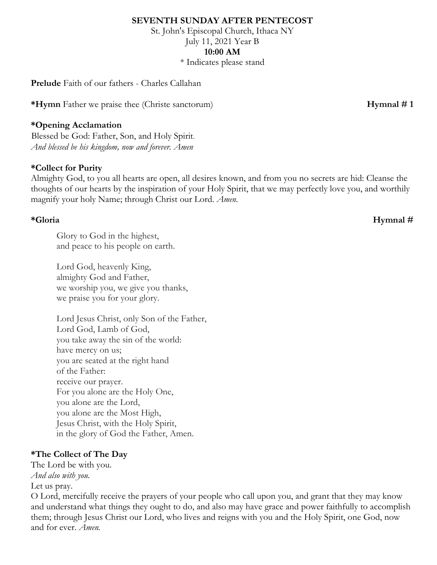**SEVENTH SUNDAY AFTER PENTECOST**

St. John's Episcopal Church, Ithaca NY July 11, 2021 Year B **10:00 AM**

\* Indicates please stand

**Prelude** Faith of our fathers - Charles Callahan

**\*Hymn** Father we praise thee (Christe sanctorum) **Hymnal # 1**

## **\*Opening Acclamation**

Blessed be God: Father, Son, and Holy Spirit. *And blessed be his kingdom, now and forever. Amen*

## **\*Collect for Purity**

Almighty God, to you all hearts are open, all desires known, and from you no secrets are hid: Cleanse the thoughts of our hearts by the inspiration of your Holy Spirit, that we may perfectly love you, and worthily magnify your holy Name; through Christ our Lord. *Amen.*

Glory to God in the highest, and peace to his people on earth.

Lord God, heavenly King, almighty God and Father, we worship you, we give you thanks, we praise you for your glory.

Lord Jesus Christ, only Son of the Father, Lord God, Lamb of God, you take away the sin of the world: have mercy on us; you are seated at the right hand of the Father: receive our prayer. For you alone are the Holy One, you alone are the Lord, you alone are the Most High, Jesus Christ, with the Holy Spirit, in the glory of God the Father, Amen.

## **\*The Collect of The Day**

The Lord be with you. *And also with you.* Let us pray.

O Lord, mercifully receive the prayers of your people who call upon you, and grant that they may know and understand what things they ought to do, and also may have grace and power faithfully to accomplish them; through Jesus Christ our Lord, who lives and reigns with you and the Holy Spirit, one God, now and for ever. *Amen.*

# **\*Gloria Hymnal #**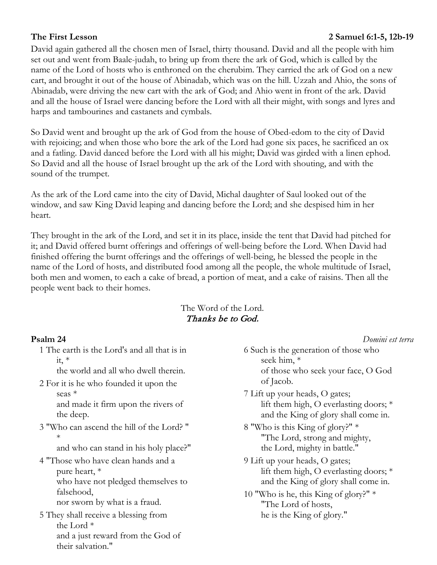# **The First Lesson 2 Samuel 6:1-5, 12b-19**

David again gathered all the chosen men of Israel, thirty thousand. David and all the people with him set out and went from Baale-judah, to bring up from there the ark of God, which is called by the name of the Lord of hosts who is enthroned on the cherubim. They carried the ark of God on a new cart, and brought it out of the house of Abinadab, which was on the hill. Uzzah and Ahio, the sons of Abinadab, were driving the new cart with the ark of God; and Ahio went in front of the ark. David and all the house of Israel were dancing before the Lord with all their might, with songs and lyres and harps and tambourines and castanets and cymbals.

So David went and brought up the ark of God from the house of Obed-edom to the city of David with rejoicing; and when those who bore the ark of the Lord had gone six paces, he sacrificed an ox and a fatling. David danced before the Lord with all his might; David was girded with a linen ephod. So David and all the house of Israel brought up the ark of the Lord with shouting, and with the sound of the trumpet.

As the ark of the Lord came into the city of David, Michal daughter of Saul looked out of the window, and saw King David leaping and dancing before the Lord; and she despised him in her heart.

They brought in the ark of the Lord, and set it in its place, inside the tent that David had pitched for it; and David offered burnt offerings and offerings of well-being before the Lord. When David had finished offering the burnt offerings and the offerings of well-being, he blessed the people in the name of the Lord of hosts, and distributed food among all the people, the whole multitude of Israel, both men and women, to each a cake of bread, a portion of meat, and a cake of raisins. Then all the people went back to their homes.

# The Word of the Lord. Thanks be to God.

- 2 For it is he who founded it upon the seas \* and made it firm upon the rivers of the deep.
- 3 "Who can ascend the hill of the Lord? " \*

and who can stand in his holy place?"

- 4 "Those who have clean hands and a pure heart, \* who have not pledged themselves to falsehood, nor sworn by what is a fraud.
- 5 They shall receive a blessing from the Lord \* and a just reward from the God of their salvation."

| Psalm 24                                     | Domini est terra                       |  |
|----------------------------------------------|----------------------------------------|--|
| 1 The earth is the Lord's and all that is in | 6 Such is the generation of those who  |  |
| it, $*$                                      | seek him, *                            |  |
| the world and all who dwell therein.         | of those who seek your face, O God     |  |
| 2 For it is he who founded it upon the       | of Jacob.                              |  |
| seas $*$                                     | 7 Lift up your heads, O gates;         |  |
| and made it firm upon the rivers of          | lift them high, O everlasting doors; * |  |

and the King of glory shall come in.

8 "Who is this King of glory?" \* "The Lord, strong and mighty, the Lord, mighty in battle."

- 9 Lift up your heads, O gates; lift them high, O everlasting doors; \* and the King of glory shall come in.
- 10 "Who is he, this King of glory?" \* "The Lord of hosts, he is the King of glory."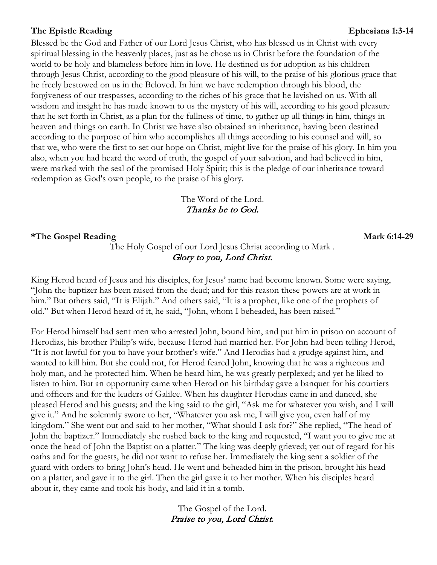# **The Epistle Reading Ephesians 1:3-14**

Blessed be the God and Father of our Lord Jesus Christ, who has blessed us in Christ with every spiritual blessing in the heavenly places, just as he chose us in Christ before the foundation of the world to be holy and blameless before him in love. He destined us for adoption as his children through Jesus Christ, according to the good pleasure of his will, to the praise of his glorious grace that he freely bestowed on us in the Beloved. In him we have redemption through his blood, the forgiveness of our trespasses, according to the riches of his grace that he lavished on us. With all wisdom and insight he has made known to us the mystery of his will, according to his good pleasure that he set forth in Christ, as a plan for the fullness of time, to gather up all things in him, things in heaven and things on earth. In Christ we have also obtained an inheritance, having been destined according to the purpose of him who accomplishes all things according to his counsel and will, so that we, who were the first to set our hope on Christ, might live for the praise of his glory. In him you also, when you had heard the word of truth, the gospel of your salvation, and had believed in him, were marked with the seal of the promised Holy Spirit; this is the pledge of our inheritance toward redemption as God's own people, to the praise of his glory.

## The Word of the Lord. Thanks be to God.

## **\*The Gospel Reading Mark 6:14-29**

The Holy Gospel of our Lord Jesus Christ according to Mark . Glory to you, Lord Christ.

King Herod heard of Jesus and his disciples, for Jesus' name had become known. Some were saying, "John the baptizer has been raised from the dead; and for this reason these powers are at work in him." But others said, "It is Elijah." And others said, "It is a prophet, like one of the prophets of old." But when Herod heard of it, he said, "John, whom I beheaded, has been raised."

For Herod himself had sent men who arrested John, bound him, and put him in prison on account of Herodias, his brother Philip's wife, because Herod had married her. For John had been telling Herod, "It is not lawful for you to have your brother's wife." And Herodias had a grudge against him, and wanted to kill him. But she could not, for Herod feared John, knowing that he was a righteous and holy man, and he protected him. When he heard him, he was greatly perplexed; and yet he liked to listen to him. But an opportunity came when Herod on his birthday gave a banquet for his courtiers and officers and for the leaders of Galilee. When his daughter Herodias came in and danced, she pleased Herod and his guests; and the king said to the girl, "Ask me for whatever you wish, and I will give it." And he solemnly swore to her, "Whatever you ask me, I will give you, even half of my kingdom." She went out and said to her mother, "What should I ask for?" She replied, "The head of John the baptizer." Immediately she rushed back to the king and requested, "I want you to give me at once the head of John the Baptist on a platter." The king was deeply grieved; yet out of regard for his oaths and for the guests, he did not want to refuse her. Immediately the king sent a soldier of the guard with orders to bring John's head. He went and beheaded him in the prison, brought his head on a platter, and gave it to the girl. Then the girl gave it to her mother. When his disciples heard about it, they came and took his body, and laid it in a tomb.

> The Gospel of the Lord. Praise to you, Lord Christ.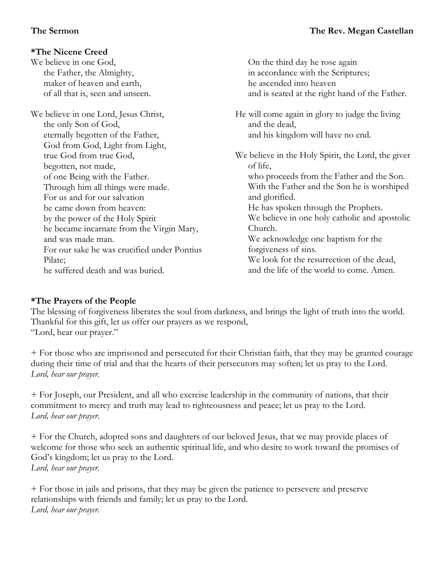# **\*The Nicene Creed**

| We believe in one God,                      | On the third day he rose again                     |
|---------------------------------------------|----------------------------------------------------|
| the Father, the Almighty,                   | in accordance with the Scriptures;                 |
| maker of heaven and earth,                  | he ascended into heaven                            |
| of all that is, seen and unseen.            | and is seated at the right hand of the Father.     |
| We believe in one Lord, Jesus Christ,       | He will come again in glory to judge the living    |
| the only Son of God,                        | and the dead,                                      |
| eternally begotten of the Father,           | and his kingdom will have no end.                  |
| God from God, Light from Light,             |                                                    |
| true God from true God,                     | We believe in the Holy Spirit, the Lord, the giver |
| begotten, not made,                         | of life,                                           |
| of one Being with the Father.               | who proceeds from the Father and the Son.          |
| Through him all things were made.           | With the Father and the Son he is worshiped        |
| For us and for our salvation                | and glorified.                                     |
| he came down from heaven:                   | He has spoken through the Prophets.                |
| by the power of the Holy Spirit             | We believe in one holy catholic and apostolic      |
| he became incarnate from the Virgin Mary,   | Church.                                            |
| and was made man.                           | We acknowledge one baptism for the                 |
| For our sake he was crucified under Pontius | forgiveness of sins.                               |
| Pilate;                                     | We look for the resurrection of the dead,          |
| he suffered death and was buried.           | and the life of the world to come. Amen.           |

# **\*The Prayers of the People**

The blessing of forgiveness liberates the soul from darkness, and brings the light of truth into the world. Thankful for this gift, let us offer our prayers as we respond, "Lord, hear our prayer."

+ For those who are imprisoned and persecuted for their Christian faith, that they may be granted courage during their time of trial and that the hearts of their persecutors may soften; let us pray to the Lord. *Lord, hear our prayer.*

+ For Joseph, our President, and all who exercise leadership in the community of nations, that their commitment to mercy and truth may lead to righteousness and peace; let us pray to the Lord. *Lord, hear our prayer.*

+ For the Church, adopted sons and daughters of our beloved Jesus, that we may provide places of welcome for those who seek an authentic spiritual life, and who desire to work toward the promises of God's kingdom; let us pray to the Lord. *Lord, hear our prayer.*

+ For those in jails and prisons, that they may be given the patience to persevere and preserve relationships with friends and family; let us pray to the Lord. *Lord, hear our prayer.*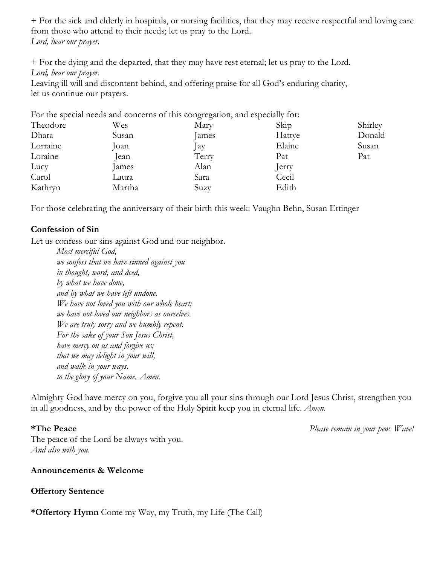+ For the sick and elderly in hospitals, or nursing facilities, that they may receive respectful and loving care from those who attend to their needs; let us pray to the Lord. *Lord, hear our prayer.*

+ For the dying and the departed, that they may have rest eternal; let us pray to the Lord. *Lord, hear our prayer.*

Leaving ill will and discontent behind, and offering praise for all God's enduring charity, let us continue our prayers.

| Wes        | Mary      | Skip   | Shirley                                                                      |
|------------|-----------|--------|------------------------------------------------------------------------------|
| Susan      | James     | Hattye | Donald                                                                       |
| $\alpha$ n | $\int ay$ | Elaine | Susan                                                                        |
| Jean       | Terry     | Pat    | Pat                                                                          |
| James      | Alan      | erry   |                                                                              |
| Laura      | Sara      | Cecil  |                                                                              |
| Martha     | Suzy      | Edith  |                                                                              |
|            |           |        | For the special needs and concerns of this congregation, and especially for: |

For those celebrating the anniversary of their birth this week: Vaughn Behn, Susan Ettinger

## **Confession of Sin**

Let us confess our sins against God and our neighbor.

*Most merciful God, we confess that we have sinned against you in thought, word, and deed, by what we have done, and by what we have left undone. We have not loved you with our whole heart; we have not loved our neighbors as ourselves. We are truly sorry and we humbly repent. For the sake of your Son Jesus Christ, have mercy on us and forgive us; that we may delight in your will, and walk in your ways, to the glory of your Name. Amen.*

Almighty God have mercy on you, forgive you all your sins through our Lord Jesus Christ, strengthen you in all goodness, and by the power of the Holy Spirit keep you in eternal life. *Amen.*

**\*The Peace** *Please remain in your pew. Wave!*

The peace of the Lord be always with you. *And also with you.*

## **Announcements & Welcome**

## **Offertory Sentence**

**\*Offertory Hymn** Come my Way, my Truth, my Life (The Call)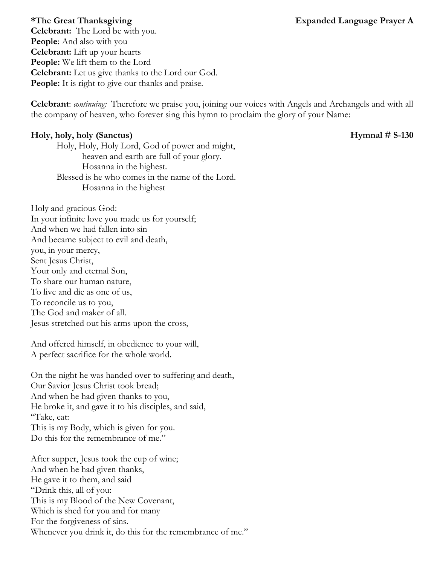**\*The Great Thanksgiving Expanded Language Prayer A Celebrant:** The Lord be with you. **People**: And also with you **Celebrant:** Lift up your hearts **People:** We lift them to the Lord **Celebrant:** Let us give thanks to the Lord our God. **People:** It is right to give our thanks and praise.

**Celebrant**: *continuing:* Therefore we praise you, joining our voices with Angels and Archangels and with all the company of heaven, who forever sing this hymn to proclaim the glory of your Name:

## **Holy, holy, holy (Sanctus) Hymnal # S-130**

Holy, Holy, Holy Lord, God of power and might, heaven and earth are full of your glory. Hosanna in the highest. Blessed is he who comes in the name of the Lord. Hosanna in the highest

Holy and gracious God: In your infinite love you made us for yourself; And when we had fallen into sin And became subject to evil and death, you, in your mercy, Sent Jesus Christ, Your only and eternal Son, To share our human nature, To live and die as one of us, To reconcile us to you, The God and maker of all. Jesus stretched out his arms upon the cross,

And offered himself, in obedience to your will, A perfect sacrifice for the whole world.

On the night he was handed over to suffering and death, Our Savior Jesus Christ took bread; And when he had given thanks to you, He broke it, and gave it to his disciples, and said, "Take, eat: This is my Body, which is given for you. Do this for the remembrance of me."

After supper, Jesus took the cup of wine; And when he had given thanks, He gave it to them, and said "Drink this, all of you: This is my Blood of the New Covenant, Which is shed for you and for many For the forgiveness of sins. Whenever you drink it, do this for the remembrance of me."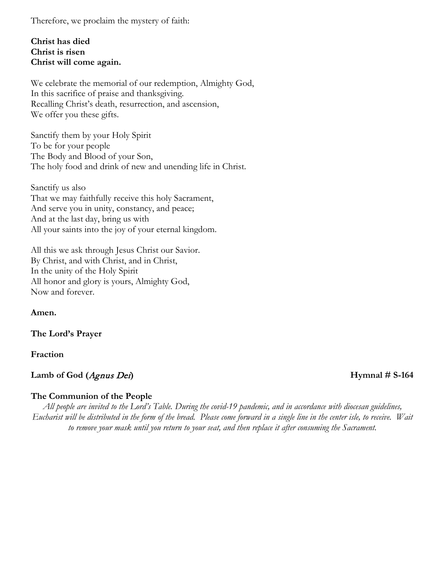Therefore, we proclaim the mystery of faith:

# **Christ has died Christ is risen Christ will come again.**

We celebrate the memorial of our redemption, Almighty God, In this sacrifice of praise and thanksgiving. Recalling Christ's death, resurrection, and ascension, We offer you these gifts.

Sanctify them by your Holy Spirit To be for your people The Body and Blood of your Son, The holy food and drink of new and unending life in Christ.

Sanctify us also That we may faithfully receive this holy Sacrament, And serve you in unity, constancy, and peace; And at the last day, bring us with All your saints into the joy of your eternal kingdom.

All this we ask through Jesus Christ our Savior. By Christ, and with Christ, and in Christ, In the unity of the Holy Spirit All honor and glory is yours, Almighty God, Now and forever.

### **Amen.**

**The Lord's Prayer**

### **Fraction**

## **Lamb of God (**Agnus Dei**) Hymnal # S-164**

# **The Communion of the People**

*All people are invited to the Lord's Table. During the covid-19 pandemic, and in accordance with diocesan guidelines, Eucharist will be distributed in the form of the bread. Please come forward in a single line in the center isle, to receive. Wait to remove your mask until you return to your seat, and then replace it after consuming the Sacrament.*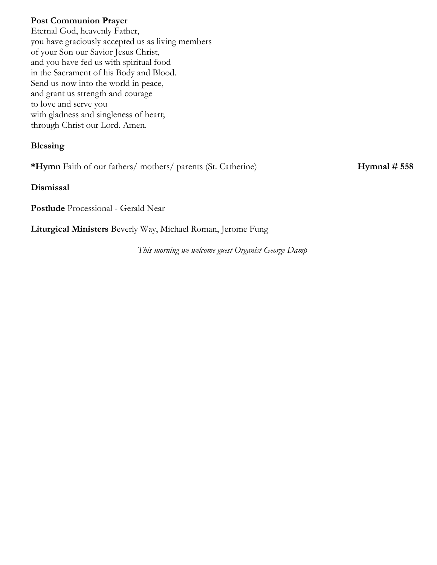## **Post Communion Prayer**

Eternal God, heavenly Father, you have graciously accepted us as living members of your Son our Savior Jesus Christ, and you have fed us with spiritual food in the Sacrament of his Body and Blood. Send us now into the world in peace, and grant us strength and courage to love and serve you with gladness and singleness of heart; through Christ our Lord. Amen.

# **Blessing**

\*Hymn Faith of our fathers/ mothers/ parents (St. Catherine) **Hymnal # 558** 

**Dismissal**

**Postlude** Processional - Gerald Near

**Liturgical Ministers** Beverly Way, Michael Roman, Jerome Fung

*This morning we welcome guest Organist George Damp*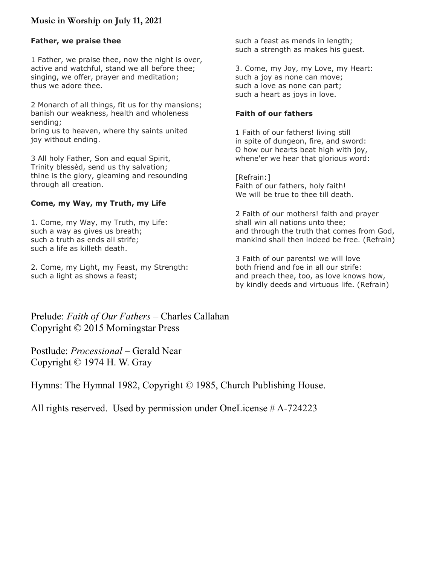# **Music in Worship on July 11, 2021**

### **Father, we praise thee**

1 Father, we praise thee, now the night is over, active and watchful, stand we all before thee; singing, we offer, prayer and meditation; thus we adore thee.

2 Monarch of all things, fit us for thy mansions; banish our weakness, health and wholeness sending;

bring us to heaven, where thy saints united joy without ending.

3 All holy Father, Son and equal Spirit, Trinity blessèd, send us thy salvation; thine is the glory, gleaming and resounding through all creation.

### **Come, my Way, my Truth, my Life**

1. Come, my Way, my Truth, my Life: such a way as gives us breath; such a truth as ends all strife; such a life as killeth death.

2. Come, my Light, my Feast, my Strength: such a light as shows a feast;

such a feast as mends in length; such a strength as makes his guest.

3. Come, my Joy, my Love, my Heart: such a joy as none can move; such a love as none can part; such a heart as joys in love.

### **Faith of our fathers**

1 Faith of our fathers! living still in spite of dungeon, fire, and sword: O how our hearts beat high with joy, whene'er we hear that glorious word:

[Refrain:] Faith of our fathers, holy faith! We will be true to thee till death.

2 Faith of our mothers! faith and prayer shall win all nations unto thee; and through the truth that comes from God, mankind shall then indeed be free. (Refrain)

3 Faith of our parents! we will love both friend and foe in all our strife: and preach thee, too, as love knows how, by kindly deeds and virtuous life. (Refrain)

Prelude: *Faith of Our Fathers* – Charles Callahan Copyright © 2015 Morningstar Press

Postlude: *Processional* – Gerald Near Copyright © 1974 H. W. Gray

Hymns: The Hymnal 1982, Copyright © 1985, Church Publishing House.

All rights reserved. Used by permission under OneLicense # A-724223